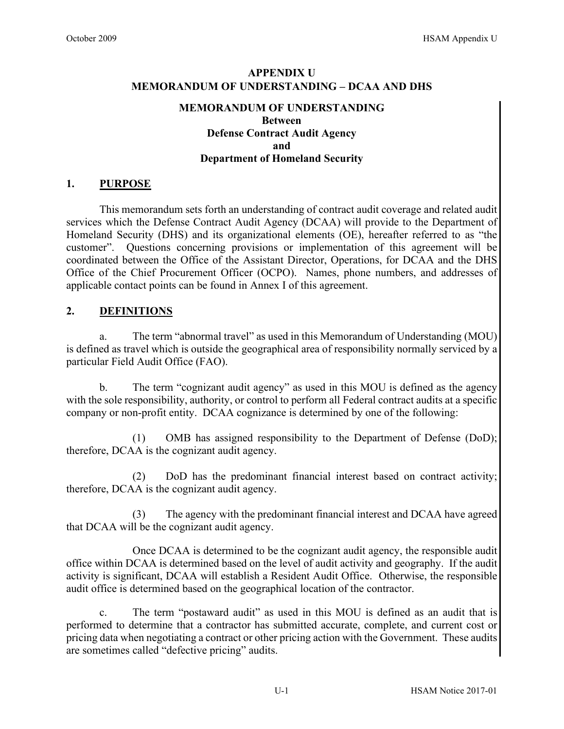# **APPENDIX U MEMORANDUM OF UNDERSTANDING – DCAA AND DHS**

## **MEMORANDUM OF UNDERSTANDING Between Defense Contract Audit Agency and Department of Homeland Security**

## **1. PURPOSE**

This memorandum sets forth an understanding of contract audit coverage and related audit services which the Defense Contract Audit Agency (DCAA) will provide to the Department of Homeland Security (DHS) and its organizational elements (OE), hereafter referred to as "the customer". Questions concerning provisions or implementation of this agreement will be coordinated between the Office of the Assistant Director, Operations, for DCAA and the DHS Office of the Chief Procurement Officer (OCPO). Names, phone numbers, and addresses of applicable contact points can be found in Annex I of this agreement.

## **2. DEFINITIONS**

a. The term "abnormal travel" as used in this Memorandum of Understanding (MOU) is defined as travel which is outside the geographical area of responsibility normally serviced by a particular Field Audit Office (FAO).

 b. The term "cognizant audit agency" as used in this MOU is defined as the agency with the sole responsibility, authority, or control to perform all Federal contract audits at a specific company or non-profit entity. DCAA cognizance is determined by one of the following:

(1) OMB has assigned responsibility to the Department of Defense (DoD); therefore, DCAA is the cognizant audit agency.

(2) DoD has the predominant financial interest based on contract activity; therefore, DCAA is the cognizant audit agency.

(3) The agency with the predominant financial interest and DCAA have agreed that DCAA will be the cognizant audit agency.

 Once DCAA is determined to be the cognizant audit agency, the responsible audit office within DCAA is determined based on the level of audit activity and geography. If the audit activity is significant, DCAA will establish a Resident Audit Office. Otherwise, the responsible audit office is determined based on the geographical location of the contractor.

c. The term "postaward audit" as used in this MOU is defined as an audit that is performed to determine that a contractor has submitted accurate, complete, and current cost or pricing data when negotiating a contract or other pricing action with the Government. These audits are sometimes called "defective pricing" audits.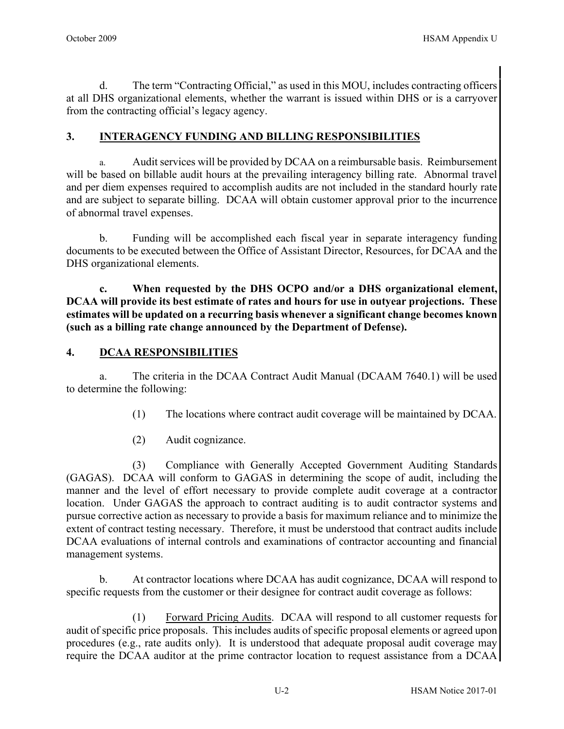d. The term "Contracting Official," as used in this MOU, includes contracting officers at all DHS organizational elements, whether the warrant is issued within DHS or is a carryover from the contracting official's legacy agency.

## **3. INTERAGENCY FUNDING AND BILLING RESPONSIBILITIES**

a. Audit services will be provided by DCAA on a reimbursable basis. Reimbursement will be based on billable audit hours at the prevailing interagency billing rate. Abnormal travel and per diem expenses required to accomplish audits are not included in the standard hourly rate and are subject to separate billing. DCAA will obtain customer approval prior to the incurrence of abnormal travel expenses.

 b. Funding will be accomplished each fiscal year in separate interagency funding documents to be executed between the Office of Assistant Director, Resources, for DCAA and the DHS organizational elements.

**c. When requested by the DHS OCPO and/or a DHS organizational element, DCAA will provide its best estimate of rates and hours for use in outyear projections. These estimates will be updated on a recurring basis whenever a significant change becomes known (such as a billing rate change announced by the Department of Defense).**

## **4. DCAA RESPONSIBILITIES**

a. The criteria in the DCAA Contract Audit Manual (DCAAM 7640.1) will be used to determine the following:

- (1) The locations where contract audit coverage will be maintained by DCAA.
- (2) Audit cognizance.

(3) Compliance with Generally Accepted Government Auditing Standards (GAGAS). DCAA will conform to GAGAS in determining the scope of audit, including the manner and the level of effort necessary to provide complete audit coverage at a contractor location. Under GAGAS the approach to contract auditing is to audit contractor systems and pursue corrective action as necessary to provide a basis for maximum reliance and to minimize the extent of contract testing necessary. Therefore, it must be understood that contract audits include DCAA evaluations of internal controls and examinations of contractor accounting and financial management systems.

 b. At contractor locations where DCAA has audit cognizance, DCAA will respond to specific requests from the customer or their designee for contract audit coverage as follows:

(1) Forward Pricing Audits. DCAA will respond to all customer requests for audit of specific price proposals. This includes audits of specific proposal elements or agreed upon procedures (e.g., rate audits only). It is understood that adequate proposal audit coverage may require the DCAA auditor at the prime contractor location to request assistance from a DCAA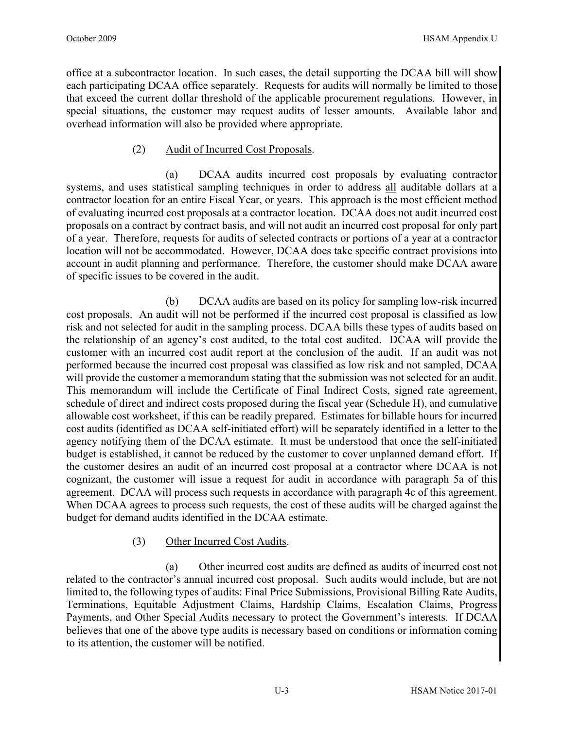office at a subcontractor location. In such cases, the detail supporting the DCAA bill will show each participating DCAA office separately. Requests for audits will normally be limited to those that exceed the current dollar threshold of the applicable procurement regulations. However, in special situations, the customer may request audits of lesser amounts. Available labor and overhead information will also be provided where appropriate.

## (2) Audit of Incurred Cost Proposals.

(a) DCAA audits incurred cost proposals by evaluating contractor systems, and uses statistical sampling techniques in order to address all auditable dollars at a contractor location for an entire Fiscal Year, or years. This approach is the most efficient method of evaluating incurred cost proposals at a contractor location. DCAA does not audit incurred cost proposals on a contract by contract basis, and will not audit an incurred cost proposal for only part of a year. Therefore, requests for audits of selected contracts or portions of a year at a contractor location will not be accommodated. However, DCAA does take specific contract provisions into account in audit planning and performance. Therefore, the customer should make DCAA aware of specific issues to be covered in the audit.

(b) DCAA audits are based on its policy for sampling low-risk incurred cost proposals. An audit will not be performed if the incurred cost proposal is classified as low risk and not selected for audit in the sampling process. DCAA bills these types of audits based on the relationship of an agency's cost audited, to the total cost audited. DCAA will provide the customer with an incurred cost audit report at the conclusion of the audit. If an audit was not performed because the incurred cost proposal was classified as low risk and not sampled, DCAA will provide the customer a memorandum stating that the submission was not selected for an audit. This memorandum will include the Certificate of Final Indirect Costs, signed rate agreement, schedule of direct and indirect costs proposed during the fiscal year (Schedule H), and cumulative allowable cost worksheet, if this can be readily prepared. Estimates for billable hours for incurred cost audits (identified as DCAA self-initiated effort) will be separately identified in a letter to the agency notifying them of the DCAA estimate. It must be understood that once the self-initiated budget is established, it cannot be reduced by the customer to cover unplanned demand effort. If the customer desires an audit of an incurred cost proposal at a contractor where DCAA is not cognizant, the customer will issue a request for audit in accordance with paragraph 5a of this agreement. DCAA will process such requests in accordance with paragraph 4c of this agreement. When DCAA agrees to process such requests, the cost of these audits will be charged against the budget for demand audits identified in the DCAA estimate.

## (3) Other Incurred Cost Audits.

(a) Other incurred cost audits are defined as audits of incurred cost not related to the contractor's annual incurred cost proposal. Such audits would include, but are not limited to, the following types of audits: Final Price Submissions, Provisional Billing Rate Audits, Terminations, Equitable Adjustment Claims, Hardship Claims, Escalation Claims, Progress Payments, and Other Special Audits necessary to protect the Government's interests. If DCAA believes that one of the above type audits is necessary based on conditions or information coming to its attention, the customer will be notified.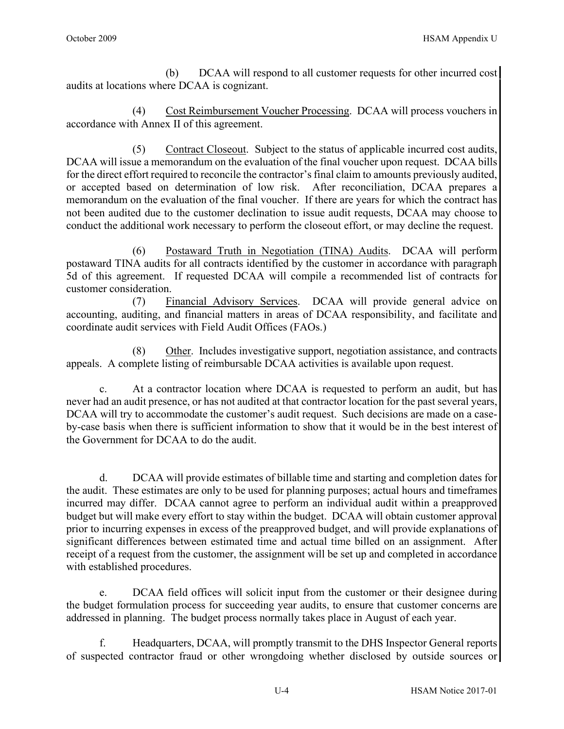(b) DCAA will respond to all customer requests for other incurred cost audits at locations where DCAA is cognizant.

(4) Cost Reimbursement Voucher Processing. DCAA will process vouchers in accordance with Annex II of this agreement.

(5) Contract Closeout. Subject to the status of applicable incurred cost audits, DCAA will issue a memorandum on the evaluation of the final voucher upon request. DCAA bills for the direct effort required to reconcile the contractor's final claim to amounts previously audited, or accepted based on determination of low risk. After reconciliation, DCAA prepares a memorandum on the evaluation of the final voucher. If there are years for which the contract has not been audited due to the customer declination to issue audit requests, DCAA may choose to conduct the additional work necessary to perform the closeout effort, or may decline the request.

(6) Postaward Truth in Negotiation (TINA) Audits. DCAA will perform postaward TINA audits for all contracts identified by the customer in accordance with paragraph 5d of this agreement. If requested DCAA will compile a recommended list of contracts for customer consideration.

 (7) Financial Advisory Services. DCAA will provide general advice on accounting, auditing, and financial matters in areas of DCAA responsibility, and facilitate and coordinate audit services with Field Audit Offices (FAOs.)

 (8) Other. Includes investigative support, negotiation assistance, and contracts appeals. A complete listing of reimbursable DCAA activities is available upon request.

c. At a contractor location where DCAA is requested to perform an audit, but has never had an audit presence, or has not audited at that contractor location for the past several years, DCAA will try to accommodate the customer's audit request. Such decisions are made on a caseby-case basis when there is sufficient information to show that it would be in the best interest of the Government for DCAA to do the audit.

 d. DCAA will provide estimates of billable time and starting and completion dates for the audit. These estimates are only to be used for planning purposes; actual hours and timeframes incurred may differ. DCAA cannot agree to perform an individual audit within a preapproved budget but will make every effort to stay within the budget. DCAA will obtain customer approval prior to incurring expenses in excess of the preapproved budget, and will provide explanations of significant differences between estimated time and actual time billed on an assignment. After receipt of a request from the customer, the assignment will be set up and completed in accordance with established procedures.

e. DCAA field offices will solicit input from the customer or their designee during the budget formulation process for succeeding year audits, to ensure that customer concerns are addressed in planning. The budget process normally takes place in August of each year.

f. Headquarters, DCAA, will promptly transmit to the DHS Inspector General reports of suspected contractor fraud or other wrongdoing whether disclosed by outside sources or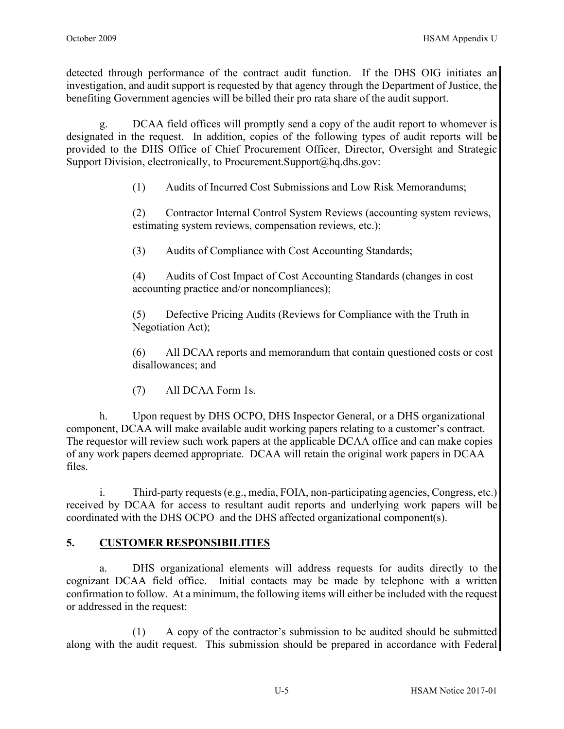detected through performance of the contract audit function. If the DHS OIG initiates an investigation, and audit support is requested by that agency through the Department of Justice, the benefiting Government agencies will be billed their pro rata share of the audit support.

 g. DCAA field offices will promptly send a copy of the audit report to whomever is designated in the request. In addition, copies of the following types of audit reports will be provided to the DHS Office of Chief Procurement Officer, Director, Oversight and Strategic Support Division, electronically, to Procurement.Support@hq.dhs.gov:

(1) Audits of Incurred Cost Submissions and Low Risk Memorandums;

(2) Contractor Internal Control System Reviews (accounting system reviews, estimating system reviews, compensation reviews, etc.);

(3) Audits of Compliance with Cost Accounting Standards;

(4) Audits of Cost Impact of Cost Accounting Standards (changes in cost accounting practice and/or noncompliances);

(5) Defective Pricing Audits (Reviews for Compliance with the Truth in Negotiation Act);

(6) All DCAA reports and memorandum that contain questioned costs or cost disallowances; and

(7) All DCAA Form 1s.

 h. Upon request by DHS OCPO, DHS Inspector General, or a DHS organizational component, DCAA will make available audit working papers relating to a customer's contract. The requestor will review such work papers at the applicable DCAA office and can make copies of any work papers deemed appropriate. DCAA will retain the original work papers in DCAA files.

i. Third-party requests (e.g., media, FOIA, non-participating agencies, Congress, etc.) received by DCAA for access to resultant audit reports and underlying work papers will be coordinated with the DHS OCPO and the DHS affected organizational component(s).

## **5. CUSTOMER RESPONSIBILITIES**

a. DHS organizational elements will address requests for audits directly to the cognizant DCAA field office. Initial contacts may be made by telephone with a written confirmation to follow. At a minimum, the following items will either be included with the request or addressed in the request:

(1) A copy of the contractor's submission to be audited should be submitted along with the audit request. This submission should be prepared in accordance with Federal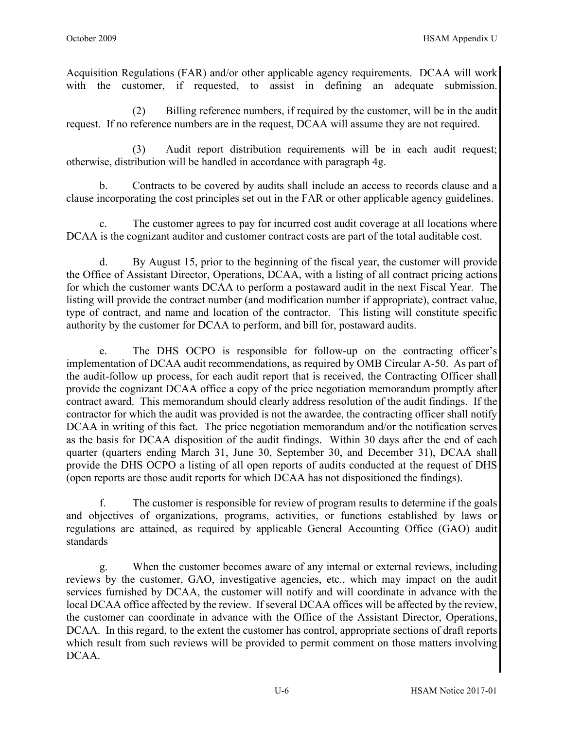Acquisition Regulations (FAR) and/or other applicable agency requirements. DCAA will work with the customer, if requested, to assist in defining an adequate submission.

(2) Billing reference numbers, if required by the customer, will be in the audit request. If no reference numbers are in the request, DCAA will assume they are not required.

(3) Audit report distribution requirements will be in each audit request; otherwise, distribution will be handled in accordance with paragraph 4g.

 b. Contracts to be covered by audits shall include an access to records clause and a clause incorporating the cost principles set out in the FAR or other applicable agency guidelines.

c. The customer agrees to pay for incurred cost audit coverage at all locations where DCAA is the cognizant auditor and customer contract costs are part of the total auditable cost.

d. By August 15, prior to the beginning of the fiscal year, the customer will provide the Office of Assistant Director, Operations, DCAA, with a listing of all contract pricing actions for which the customer wants DCAA to perform a postaward audit in the next Fiscal Year. The listing will provide the contract number (and modification number if appropriate), contract value, type of contract, and name and location of the contractor. This listing will constitute specific authority by the customer for DCAA to perform, and bill for, postaward audits.

e. The DHS OCPO is responsible for follow-up on the contracting officer's implementation of DCAA audit recommendations, as required by OMB Circular A-50. As part of the audit-follow up process, for each audit report that is received, the Contracting Officer shall provide the cognizant DCAA office a copy of the price negotiation memorandum promptly after contract award. This memorandum should clearly address resolution of the audit findings. If the contractor for which the audit was provided is not the awardee, the contracting officer shall notify DCAA in writing of this fact. The price negotiation memorandum and/or the notification serves as the basis for DCAA disposition of the audit findings. Within 30 days after the end of each quarter (quarters ending March 31, June 30, September 30, and December 31), DCAA shall provide the DHS OCPO a listing of all open reports of audits conducted at the request of DHS (open reports are those audit reports for which DCAA has not dispositioned the findings).

f. The customer is responsible for review of program results to determine if the goals and objectives of organizations, programs, activities, or functions established by laws or regulations are attained, as required by applicable General Accounting Office (GAO) audit standards

g. When the customer becomes aware of any internal or external reviews, including reviews by the customer, GAO, investigative agencies, etc., which may impact on the audit services furnished by DCAA, the customer will notify and will coordinate in advance with the local DCAA office affected by the review. If several DCAA offices will be affected by the review, the customer can coordinate in advance with the Office of the Assistant Director, Operations, DCAA. In this regard, to the extent the customer has control, appropriate sections of draft reports which result from such reviews will be provided to permit comment on those matters involving DCAA.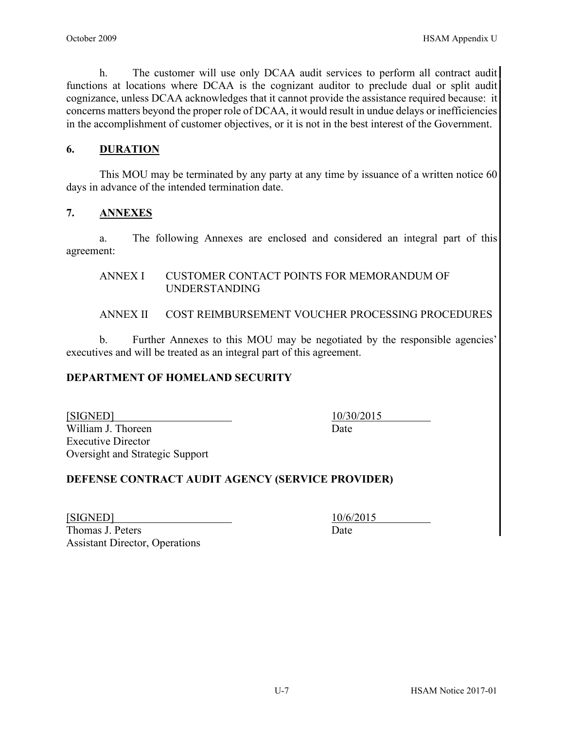h. The customer will use only DCAA audit services to perform all contract audit functions at locations where DCAA is the cognizant auditor to preclude dual or split audit cognizance, unless DCAA acknowledges that it cannot provide the assistance required because: it concerns matters beyond the proper role of DCAA, it would result in undue delays or inefficiencies in the accomplishment of customer objectives, or it is not in the best interest of the Government.

## **6. DURATION**

This MOU may be terminated by any party at any time by issuance of a written notice 60 days in advance of the intended termination date.

## **7. ANNEXES**

a. The following Annexes are enclosed and considered an integral part of this agreement:

#### ANNEX I CUSTOMER CONTACT POINTS FOR MEMORANDUM OF UNDERSTANDING

## ANNEX II COST REIMBURSEMENT VOUCHER PROCESSING PROCEDURES

 b. Further Annexes to this MOU may be negotiated by the responsible agencies' executives and will be treated as an integral part of this agreement.

## **DEPARTMENT OF HOMELAND SECURITY**

[SIGNED] 10/30/2015 William J. Thoreen Date Executive Director Oversight and Strategic Support

## **DEFENSE CONTRACT AUDIT AGENCY (SERVICE PROVIDER)**

| [SIGNED]                              | 10/6 |
|---------------------------------------|------|
| Thomas J. Peters                      | Date |
| <b>Assistant Director, Operations</b> |      |

[SIGNED] 10/6/2015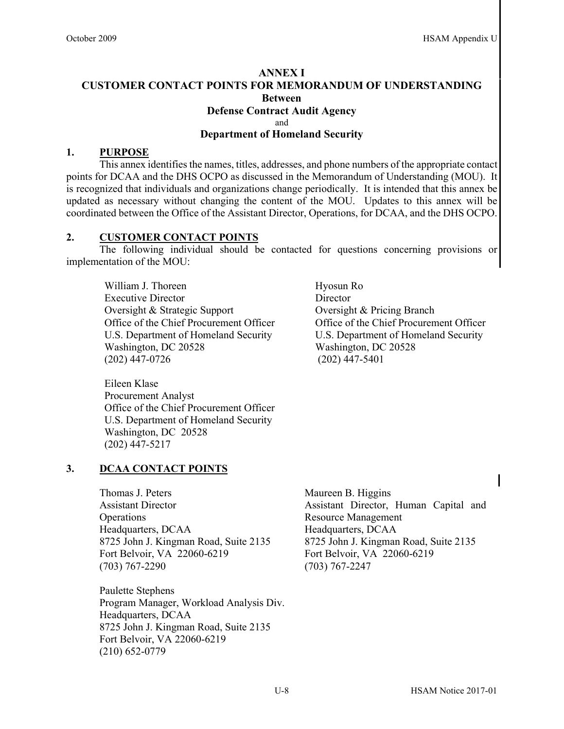#### **ANNEX I CUSTOMER CONTACT POINTS FOR MEMORANDUM OF UNDERSTANDING Between Defense Contract Audit Agency** and **Department of Homeland Security**

#### **1. PURPOSE**

This annex identifies the names, titles, addresses, and phone numbers of the appropriate contact points for DCAA and the DHS OCPO as discussed in the Memorandum of Understanding (MOU). It is recognized that individuals and organizations change periodically. It is intended that this annex be updated as necessary without changing the content of the MOU. Updates to this annex will be coordinated between the Office of the Assistant Director, Operations, for DCAA, and the DHS OCPO.

#### **2. CUSTOMER CONTACT POINTS**

The following individual should be contacted for questions concerning provisions or implementation of the MOU:

William J. Thoreen Hyosun Ro Executive Director Director Oversight & Strategic Support Oversight & Pricing Branch Office of the Chief Procurement Officer Office of the Chief Procurement Officer U.S. Department of Homeland Security U.S. Department of Homeland Security Washington, DC 20528 Washington, DC 20528 (202) 447-0726 (202) 447-5401

Eileen Klase Procurement Analyst Office of the Chief Procurement Officer U.S. Department of Homeland Security Washington, DC 20528 (202) 447-5217

#### **3. DCAA CONTACT POINTS**

Thomas J. Peters Maureen B. Higgins Assistant Director **Operations** Headquarters, DCAA Headquarters, DCAA 8725 John J. Kingman Road, Suite 2135 8725 John J. Kingman Road, Suite 2135<br>Fort Belvoir, VA 22060-6219 Fort Belvoir, VA 22060-6219 Fort Belvoir, VA 22060-6219 (703) 767-2290 (703) 767-2247

Paulette Stephens Program Manager, Workload Analysis Div. Headquarters, DCAA 8725 John J. Kingman Road, Suite 2135 Fort Belvoir, VA 22060-6219 (210) 652-0779

Assistant Director, Human Capital and Resource Management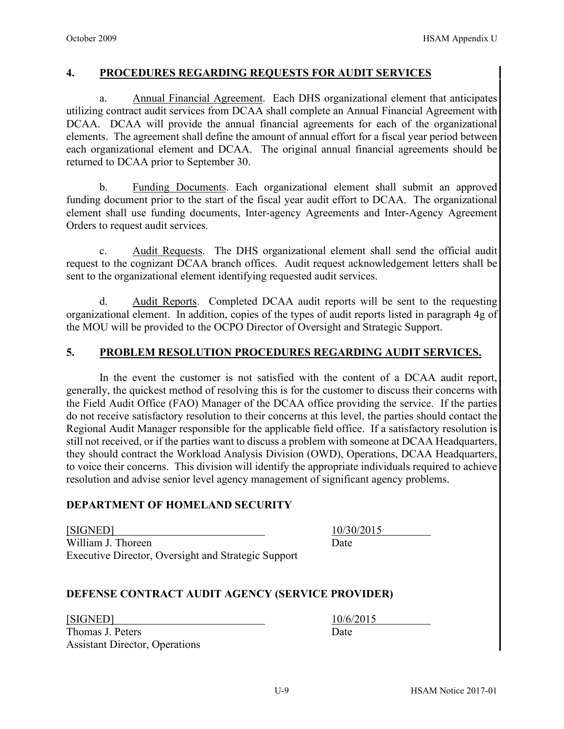#### **4. PROCEDURES REGARDING REQUESTS FOR AUDIT SERVICES**

a. Annual Financial Agreement. Each DHS organizational element that anticipates utilizing contract audit services from DCAA shall complete an Annual Financial Agreement with DCAA. DCAA will provide the annual financial agreements for each of the organizational elements. The agreement shall define the amount of annual effort for a fiscal year period between each organizational element and DCAA. The original annual financial agreements should be returned to DCAA prior to September 30.

b. Funding Documents. Each organizational element shall submit an approved funding document prior to the start of the fiscal year audit effort to DCAA. The organizational element shall use funding documents, Inter-agency Agreements and Inter-Agency Agreement Orders to request audit services.

c. Audit Requests. The DHS organizational element shall send the official audit request to the cognizant DCAA branch offices. Audit request acknowledgement letters shall be sent to the organizational element identifying requested audit services.

d. Audit Reports. Completed DCAA audit reports will be sent to the requesting organizational element. In addition, copies of the types of audit reports listed in paragraph 4g of the MOU will be provided to the OCPO Director of Oversight and Strategic Support.

## **5. PROBLEM RESOLUTION PROCEDURES REGARDING AUDIT SERVICES.**

In the event the customer is not satisfied with the content of a DCAA audit report, generally, the quickest method of resolving this is for the customer to discuss their concerns with the Field Audit Office (FAO) Manager of the DCAA office providing the service. If the parties do not receive satisfactory resolution to their concerns at this level, the parties should contact the Regional Audit Manager responsible for the applicable field office. If a satisfactory resolution is still not received, or if the parties want to discuss a problem with someone at DCAA Headquarters, they should contract the Workload Analysis Division (OWD), Operations, DCAA Headquarters, to voice their concerns. This division will identify the appropriate individuals required to achieve resolution and advise senior level agency management of significant agency problems.

#### **DEPARTMENT OF HOMELAND SECURITY**

[SIGNED] 10/30/2015 William J. Thoreen Date Executive Director, Oversight and Strategic Support

#### **DEFENSE CONTRACT AUDIT AGENCY (SERVICE PROVIDER)**

[SIGNED] 10/6/2015

Thomas J. Peters Date Assistant Director, Operations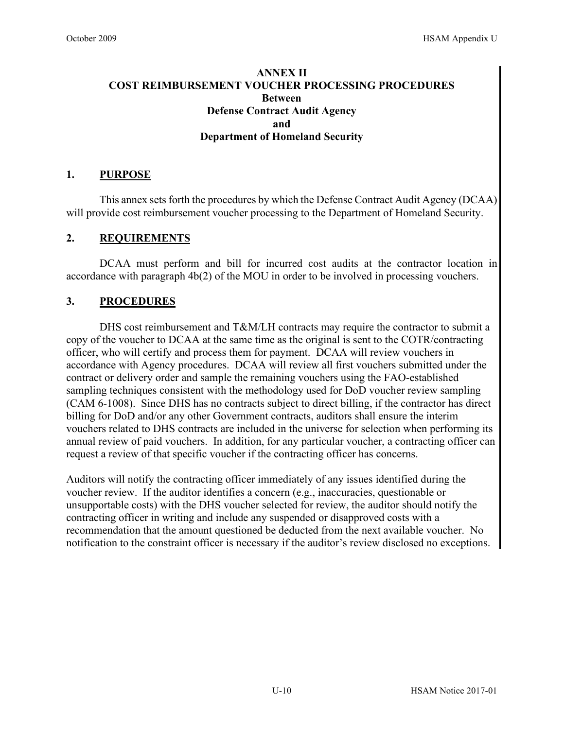## **ANNEX II COST REIMBURSEMENT VOUCHER PROCESSING PROCEDURES Between Defense Contract Audit Agency and Department of Homeland Security**

## **1. PURPOSE**

This annex sets forth the procedures by which the Defense Contract Audit Agency (DCAA) will provide cost reimbursement voucher processing to the Department of Homeland Security.

## **2. REQUIREMENTS**

DCAA must perform and bill for incurred cost audits at the contractor location in accordance with paragraph 4b(2) of the MOU in order to be involved in processing vouchers.

## **3. PROCEDURES**

 DHS cost reimbursement and T&M/LH contracts may require the contractor to submit a copy of the voucher to DCAA at the same time as the original is sent to the COTR/contracting officer, who will certify and process them for payment. DCAA will review vouchers in accordance with Agency procedures. DCAA will review all first vouchers submitted under the contract or delivery order and sample the remaining vouchers using the FAO-established sampling techniques consistent with the methodology used for DoD voucher review sampling (CAM 6-1008). Since DHS has no contracts subject to direct billing, if the contractor has direct billing for DoD and/or any other Government contracts, auditors shall ensure the interim vouchers related to DHS contracts are included in the universe for selection when performing its annual review of paid vouchers. In addition, for any particular voucher, a contracting officer can request a review of that specific voucher if the contracting officer has concerns.

Auditors will notify the contracting officer immediately of any issues identified during the voucher review. If the auditor identifies a concern (e.g., inaccuracies, questionable or unsupportable costs) with the DHS voucher selected for review, the auditor should notify the contracting officer in writing and include any suspended or disapproved costs with a recommendation that the amount questioned be deducted from the next available voucher. No notification to the constraint officer is necessary if the auditor's review disclosed no exceptions.